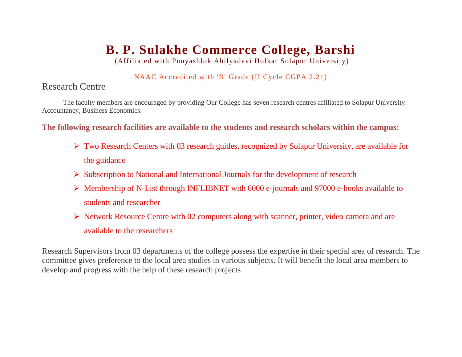## **B. P. Sulakhe Commerce College, Barshi**

(Affiliated with Punyashlok Ahilyadevi Holkar Solapur University)

## NAAC Accredited with 'B' Grade (II Cycle CGPA 2.21)

## Research Centre

The faculty members are encouraged by providing Our College has seven research centres affiliated to Solapur University. Accountancy, Business Economics.

**The following research facilities are available to the students and research scholars within the campus:**

- ➢ Two Research Centers with 03 research guides, recognized by Solapur University, are available for the guidance
- ➢ Subscription to National and International Journals for the development of research
- ➢ Membership of N-List through INFLIBNET with 6000 e-journals and 97000 e-books available to students and researcher
- ➢ Network Resource Centre with 02 computers along with scanner, printer, video camera and are available to the researchers

Research Supervisors from 03 departments of the college possess the expertise in their special area of research. The committee gives preference to the local area studies in various subjects. It will benefit the local area members to develop and progress with the help of these research projects